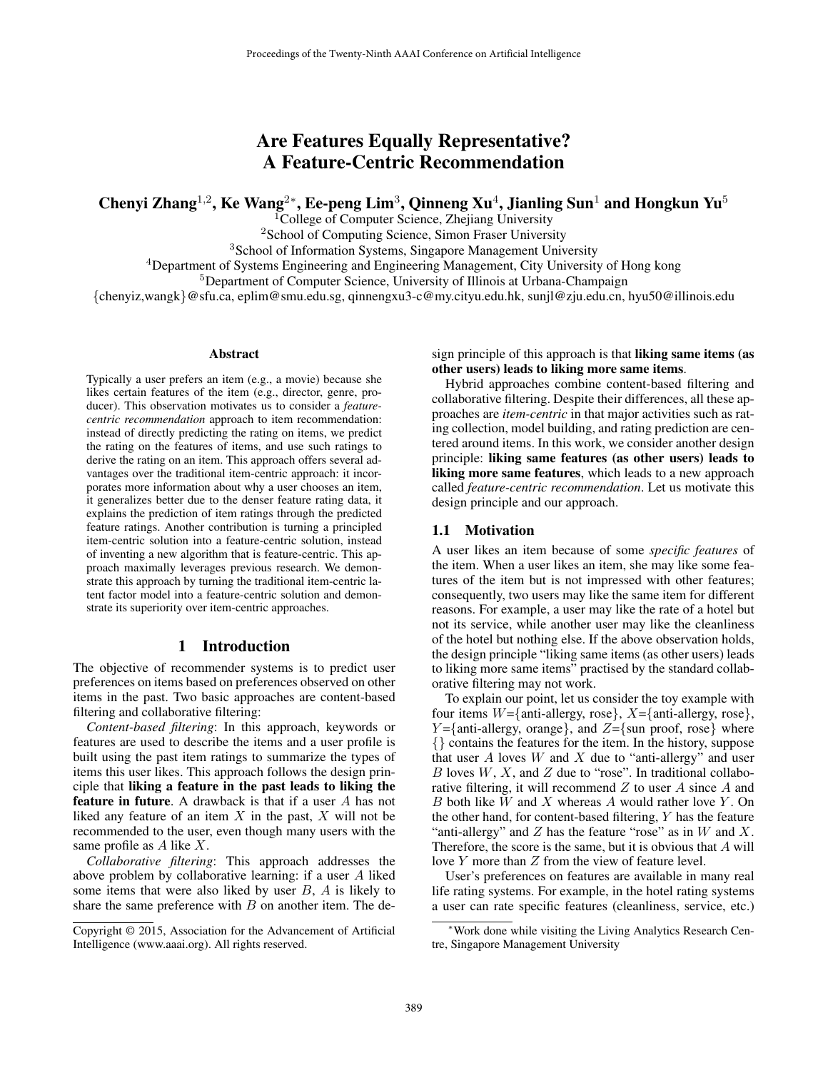# Are Features Equally Representative? A Feature-Centric Recommendation

Chenyi Zhang<sup>1,2</sup>, Ke Wang<sup>2</sup>\*, Ee-peng Lim<sup>3</sup>, Qinneng Xu<sup>4</sup>, Jianling Sun<sup>1</sup> and Hongkun Yu<sup>5</sup>

<sup>1</sup>College of Computer Science, Zhejiang University

<sup>2</sup>School of Computing Science, Simon Fraser University

<sup>3</sup>School of Information Systems, Singapore Management University

<sup>4</sup>Department of Systems Engineering and Engineering Management, City University of Hong kong

<sup>5</sup>Department of Computer Science, University of Illinois at Urbana-Champaign

{chenyiz,wangk}@sfu.ca, eplim@smu.edu.sg, qinnengxu3-c@my.cityu.edu.hk, sunjl@zju.edu.cn, hyu50@illinois.edu

#### Abstract

Typically a user prefers an item (e.g., a movie) because she likes certain features of the item (e.g., director, genre, producer). This observation motivates us to consider a *featurecentric recommendation* approach to item recommendation: instead of directly predicting the rating on items, we predict the rating on the features of items, and use such ratings to derive the rating on an item. This approach offers several advantages over the traditional item-centric approach: it incorporates more information about why a user chooses an item, it generalizes better due to the denser feature rating data, it explains the prediction of item ratings through the predicted feature ratings. Another contribution is turning a principled item-centric solution into a feature-centric solution, instead of inventing a new algorithm that is feature-centric. This approach maximally leverages previous research. We demonstrate this approach by turning the traditional item-centric latent factor model into a feature-centric solution and demonstrate its superiority over item-centric approaches.

### 1 Introduction

The objective of recommender systems is to predict user preferences on items based on preferences observed on other items in the past. Two basic approaches are content-based filtering and collaborative filtering:

*Content-based filtering*: In this approach, keywords or features are used to describe the items and a user profile is built using the past item ratings to summarize the types of items this user likes. This approach follows the design principle that liking a feature in the past leads to liking the **feature in future.** A drawback is that if a user  $A$  has not liked any feature of an item  $X$  in the past,  $X$  will not be recommended to the user, even though many users with the same profile as A like X.

*Collaborative filtering*: This approach addresses the above problem by collaborative learning: if a user A liked some items that were also liked by user  $B$ ,  $\overline{A}$  is likely to share the same preference with  $B$  on another item. The design principle of this approach is that liking same items (as other users) leads to liking more same items.

Hybrid approaches combine content-based filtering and collaborative filtering. Despite their differences, all these approaches are *item-centric* in that major activities such as rating collection, model building, and rating prediction are centered around items. In this work, we consider another design principle: liking same features (as other users) leads to liking more same features, which leads to a new approach called *feature-centric recommendation*. Let us motivate this design principle and our approach.

#### 1.1 Motivation

A user likes an item because of some *specific features* of the item. When a user likes an item, she may like some features of the item but is not impressed with other features; consequently, two users may like the same item for different reasons. For example, a user may like the rate of a hotel but not its service, while another user may like the cleanliness of the hotel but nothing else. If the above observation holds, the design principle "liking same items (as other users) leads to liking more same items" practised by the standard collaborative filtering may not work.

To explain our point, let us consider the toy example with four items  $W = \{\text{anti-allergy, rose}\}\$ ,  $X = \{\text{anti-allergy, rose}\}\$ ,  $Y = \{$ anti-allergy, orange $\}$ , and  $Z = \{$ sun proof, rose $\}$  where {} contains the features for the item. In the history, suppose that user  $A$  loves  $W$  and  $X$  due to "anti-allergy" and user B loves  $W, X$ , and  $Z$  due to "rose". In traditional collaborative filtering, it will recommend  $Z$  to user  $A$  since  $A$  and  $B$  both like  $W$  and  $X$  whereas  $A$  would rather love  $Y$ . On the other hand, for content-based filtering, Y has the feature "anti-allergy" and  $Z$  has the feature "rose" as in  $W$  and  $X$ . Therefore, the score is the same, but it is obvious that  $A$  will love Y more than Z from the view of feature level.

User's preferences on features are available in many real life rating systems. For example, in the hotel rating systems a user can rate specific features (cleanliness, service, etc.)

Copyright © 2015, Association for the Advancement of Artificial Intelligence (www.aaai.org). All rights reserved.

<sup>∗</sup>Work done while visiting the Living Analytics Research Centre, Singapore Management University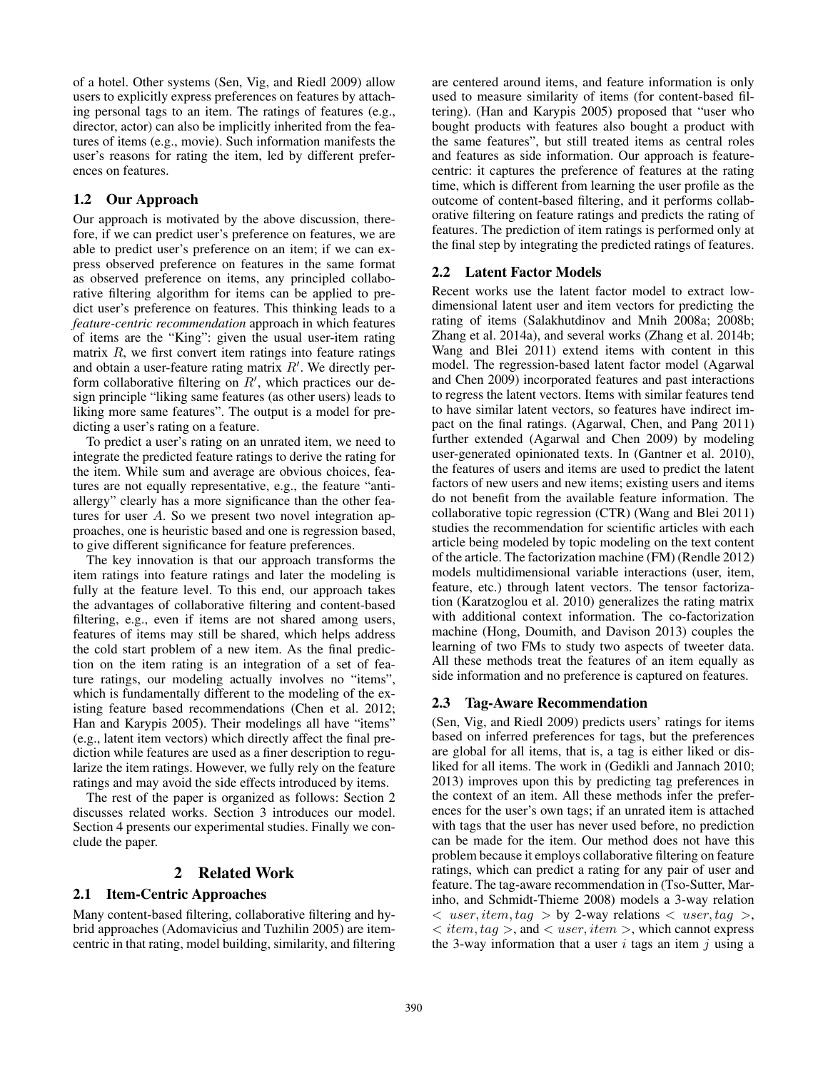of a hotel. Other systems (Sen, Vig, and Riedl 2009) allow users to explicitly express preferences on features by attaching personal tags to an item. The ratings of features (e.g., director, actor) can also be implicitly inherited from the features of items (e.g., movie). Such information manifests the user's reasons for rating the item, led by different preferences on features.

## 1.2 Our Approach

Our approach is motivated by the above discussion, therefore, if we can predict user's preference on features, we are able to predict user's preference on an item; if we can express observed preference on features in the same format as observed preference on items, any principled collaborative filtering algorithm for items can be applied to predict user's preference on features. This thinking leads to a *feature-centric recommendation* approach in which features of items are the "King": given the usual user-item rating matrix  $R$ , we first convert item ratings into feature ratings and obtain a user-feature rating matrix  $R'$ . We directly perform collaborative filtering on  $R'$ , which practices our design principle "liking same features (as other users) leads to liking more same features". The output is a model for predicting a user's rating on a feature.

To predict a user's rating on an unrated item, we need to integrate the predicted feature ratings to derive the rating for the item. While sum and average are obvious choices, features are not equally representative, e.g., the feature "antiallergy" clearly has a more significance than the other features for user A. So we present two novel integration approaches, one is heuristic based and one is regression based, to give different significance for feature preferences.

The key innovation is that our approach transforms the item ratings into feature ratings and later the modeling is fully at the feature level. To this end, our approach takes the advantages of collaborative filtering and content-based filtering, e.g., even if items are not shared among users, features of items may still be shared, which helps address the cold start problem of a new item. As the final prediction on the item rating is an integration of a set of feature ratings, our modeling actually involves no "items", which is fundamentally different to the modeling of the existing feature based recommendations (Chen et al. 2012; Han and Karypis 2005). Their modelings all have "items" (e.g., latent item vectors) which directly affect the final prediction while features are used as a finer description to regularize the item ratings. However, we fully rely on the feature ratings and may avoid the side effects introduced by items.

The rest of the paper is organized as follows: Section 2 discusses related works. Section 3 introduces our model. Section 4 presents our experimental studies. Finally we conclude the paper.

## 2 Related Work

### 2.1 Item-Centric Approaches

Many content-based filtering, collaborative filtering and hybrid approaches (Adomavicius and Tuzhilin 2005) are itemcentric in that rating, model building, similarity, and filtering

are centered around items, and feature information is only used to measure similarity of items (for content-based filtering). (Han and Karypis 2005) proposed that "user who bought products with features also bought a product with the same features", but still treated items as central roles and features as side information. Our approach is featurecentric: it captures the preference of features at the rating time, which is different from learning the user profile as the outcome of content-based filtering, and it performs collaborative filtering on feature ratings and predicts the rating of features. The prediction of item ratings is performed only at the final step by integrating the predicted ratings of features.

## 2.2 Latent Factor Models

Recent works use the latent factor model to extract lowdimensional latent user and item vectors for predicting the rating of items (Salakhutdinov and Mnih 2008a; 2008b; Zhang et al. 2014a), and several works (Zhang et al. 2014b; Wang and Blei 2011) extend items with content in this model. The regression-based latent factor model (Agarwal and Chen 2009) incorporated features and past interactions to regress the latent vectors. Items with similar features tend to have similar latent vectors, so features have indirect impact on the final ratings. (Agarwal, Chen, and Pang 2011) further extended (Agarwal and Chen 2009) by modeling user-generated opinionated texts. In (Gantner et al. 2010), the features of users and items are used to predict the latent factors of new users and new items; existing users and items do not benefit from the available feature information. The collaborative topic regression (CTR) (Wang and Blei 2011) studies the recommendation for scientific articles with each article being modeled by topic modeling on the text content of the article. The factorization machine (FM) (Rendle 2012) models multidimensional variable interactions (user, item, feature, etc.) through latent vectors. The tensor factorization (Karatzoglou et al. 2010) generalizes the rating matrix with additional context information. The co-factorization machine (Hong, Doumith, and Davison 2013) couples the learning of two FMs to study two aspects of tweeter data. All these methods treat the features of an item equally as side information and no preference is captured on features.

## 2.3 Tag-Aware Recommendation

(Sen, Vig, and Riedl 2009) predicts users' ratings for items based on inferred preferences for tags, but the preferences are global for all items, that is, a tag is either liked or disliked for all items. The work in (Gedikli and Jannach 2010; 2013) improves upon this by predicting tag preferences in the context of an item. All these methods infer the preferences for the user's own tags; if an unrated item is attached with tags that the user has never used before, no prediction can be made for the item. Our method does not have this problem because it employs collaborative filtering on feature ratings, which can predict a rating for any pair of user and feature. The tag-aware recommendation in (Tso-Sutter, Marinho, and Schmidt-Thieme 2008) models a 3-way relation  $\langle$  user, item, tag  $>$  by 2-way relations  $\langle$  user, tag  $>$ ,  $\langle$  item, tag  $\rangle$ , and  $\langle$  user, item  $\rangle$ , which cannot express the 3-way information that a user  $i$  tags an item  $j$  using a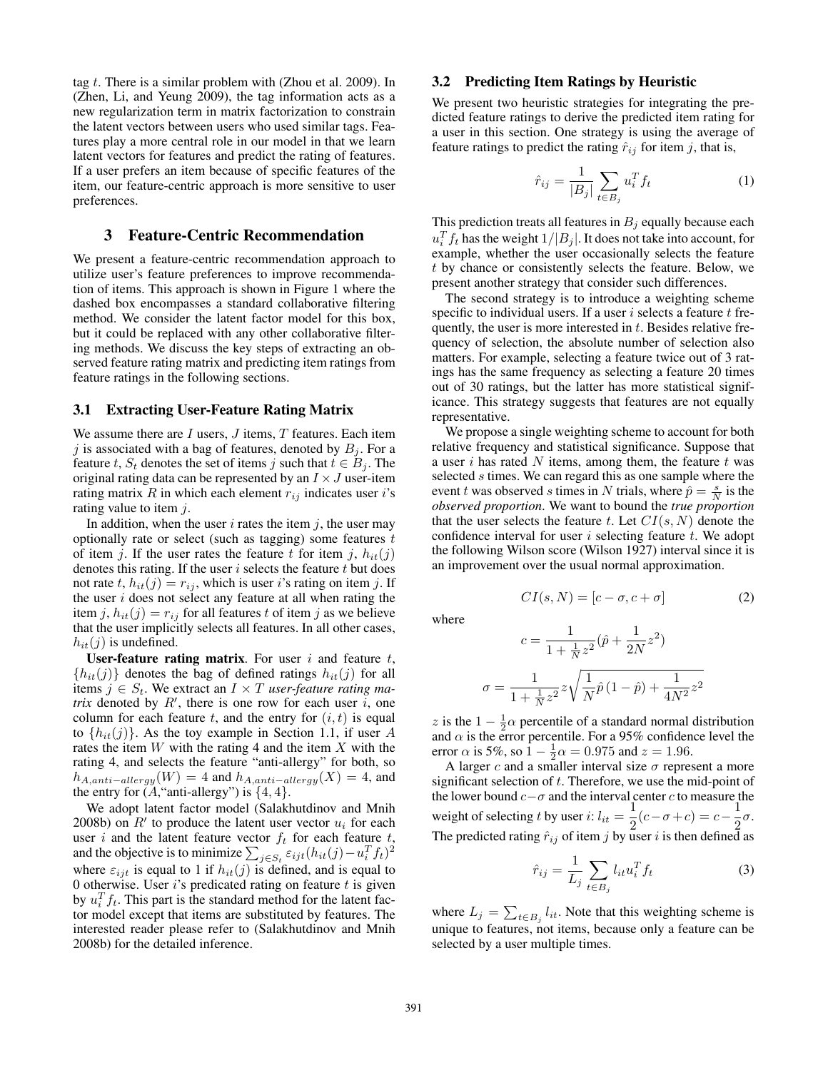tag  $t$ . There is a similar problem with (Zhou et al. 2009). In (Zhen, Li, and Yeung 2009), the tag information acts as a new regularization term in matrix factorization to constrain the latent vectors between users who used similar tags. Features play a more central role in our model in that we learn latent vectors for features and predict the rating of features. If a user prefers an item because of specific features of the item, our feature-centric approach is more sensitive to user preferences.

#### 3 Feature-Centric Recommendation

We present a feature-centric recommendation approach to utilize user's feature preferences to improve recommendation of items. This approach is shown in Figure 1 where the dashed box encompasses a standard collaborative filtering method. We consider the latent factor model for this box, but it could be replaced with any other collaborative filtering methods. We discuss the key steps of extracting an observed feature rating matrix and predicting item ratings from feature ratings in the following sections.

#### 3.1 Extracting User-Feature Rating Matrix

We assume there are  $I$  users,  $J$  items,  $T$  features. Each item j is associated with a bag of features, denoted by  $B_i$ . For a feature t,  $S_t$  denotes the set of items j such that  $t \in B_j$ . The original rating data can be represented by an  $I \times J$  user-item rating matrix R in which each element  $r_{ij}$  indicates user i's rating value to item  $j$ .

In addition, when the user  $i$  rates the item  $j$ , the user may optionally rate or select (such as tagging) some features  $t$ of item j. If the user rates the feature t for item j,  $h_{it}(j)$ denotes this rating. If the user  $i$  selects the feature  $t$  but does not rate t,  $h_{it}(j) = r_{ij}$ , which is user i's rating on item j. If the user  $i$  does not select any feature at all when rating the item j,  $h_{it}(j) = r_{ij}$  for all features t of item j as we believe that the user implicitly selects all features. In all other cases,  $h_{it}(j)$  is undefined.

User-feature rating matrix. For user  $i$  and feature  $t$ ,  ${h_{it}(j)}$  denotes the bag of defined ratings  $h_{it}(j)$  for all items  $j \in S_t$ . We extract an  $I \times T$  *user-feature rating matrix* denoted by  $R'$ , there is one row for each user i, one column for each feature t, and the entry for  $(i, t)$  is equal to  $\{h_{it}(j)\}\)$ . As the toy example in Section 1.1, if user A rates the item  $W$  with the rating 4 and the item  $X$  with the rating 4, and selects the feature "anti-allergy" for both, so  $h_{A,anti-allergy}(W) = 4$  and  $h_{A,anti-allergy}(X) = 4$ , and the entry for  $(A, "anti-allergy")$  is  $\{4, 4\}.$ 

We adopt latent factor model (Salakhutdinov and Mnih 2008b) on  $R'$  to produce the latent user vector  $u_i$  for each user i and the latent feature vector  $f_t$  for each feature t, and the objective is to minimize  $\sum_{j \in S_t} \varepsilon_{ijt} (h_{it}(j) - u_i^T f_t)^2$ where  $\varepsilon_{ijt}$  is equal to 1 if  $h_{it}(j)$  is defined, and is equal to 0 otherwise. User  $i$ 's predicated rating on feature  $t$  is given by  $u_i^T f_t$ . This part is the standard method for the latent factor model except that items are substituted by features. The interested reader please refer to (Salakhutdinov and Mnih 2008b) for the detailed inference.

#### 3.2 Predicting Item Ratings by Heuristic

We present two heuristic strategies for integrating the predicted feature ratings to derive the predicted item rating for a user in this section. One strategy is using the average of feature ratings to predict the rating  $\hat{r}_{ij}$  for item j, that is,

$$
\hat{r}_{ij} = \frac{1}{|B_j|} \sum_{t \in B_j} u_i^T f_t \tag{1}
$$

This prediction treats all features in  $B_j$  equally because each  $u_i^T f_t$  has the weight  $1/|B_j|$ . It does not take into account, for example, whether the user occasionally selects the feature t by chance or consistently selects the feature. Below, we present another strategy that consider such differences.

The second strategy is to introduce a weighting scheme specific to individual users. If a user  $i$  selects a feature  $t$  frequently, the user is more interested in  $t$ . Besides relative frequency of selection, the absolute number of selection also matters. For example, selecting a feature twice out of 3 ratings has the same frequency as selecting a feature 20 times out of 30 ratings, but the latter has more statistical significance. This strategy suggests that features are not equally representative.

We propose a single weighting scheme to account for both relative frequency and statistical significance. Suppose that a user  $i$  has rated  $N$  items, among them, the feature  $t$  was selected s times. We can regard this as one sample where the event t was observed s times in N trials, where  $\hat{p} = \frac{s}{N}$  is the *observed proportion*. We want to bound the *true proportion* that the user selects the feature t. Let  $CI(s, N)$  denote the confidence interval for user  $i$  selecting feature  $t$ . We adopt the following Wilson score (Wilson 1927) interval since it is an improvement over the usual normal approximation.

where

$$
CI(s, N) = [c - \sigma, c + \sigma]
$$
 (2)

$$
c = \frac{1}{1 + \frac{1}{N}z^2}(\hat{p} + \frac{1}{2N}z^2)
$$

$$
\sigma = \frac{1}{1 + \frac{1}{N}z^2}z\sqrt{\frac{1}{N}\hat{p}(1 - \hat{p}) + \frac{1}{4N^2}z^2}
$$

z is the  $1 - \frac{1}{2}\alpha$  percentile of a standard normal distribution and  $\alpha$  is the error percentile. For a 95% confidence level the error  $\alpha$  is 5%, so  $\hat{1} - \frac{1}{2}\alpha = 0.975$  and  $z = 1.96$ .

A larger c and a smaller interval size  $\sigma$  represent a more significant selection of  $t$ . Therefore, we use the mid-point of the lower bound  $c-\sigma$  and the interval center c to measure the weight of selecting t by user i:  $l_{it} = \frac{1}{2}$  $\frac{1}{2}(c-\sigma+c) = c-\frac{1}{2}$  $\frac{1}{2}\sigma$ . The predicted rating  $\hat{r}_{ij}$  of item j by user i is then defined as

$$
\hat{r}_{ij} = \frac{1}{L_j} \sum_{t \in B_j} l_{it} u_i^T f_t \tag{3}
$$

where  $L_j = \sum_{t \in B_j} l_{it}$ . Note that this weighting scheme is unique to features, not items, because only a feature can be selected by a user multiple times.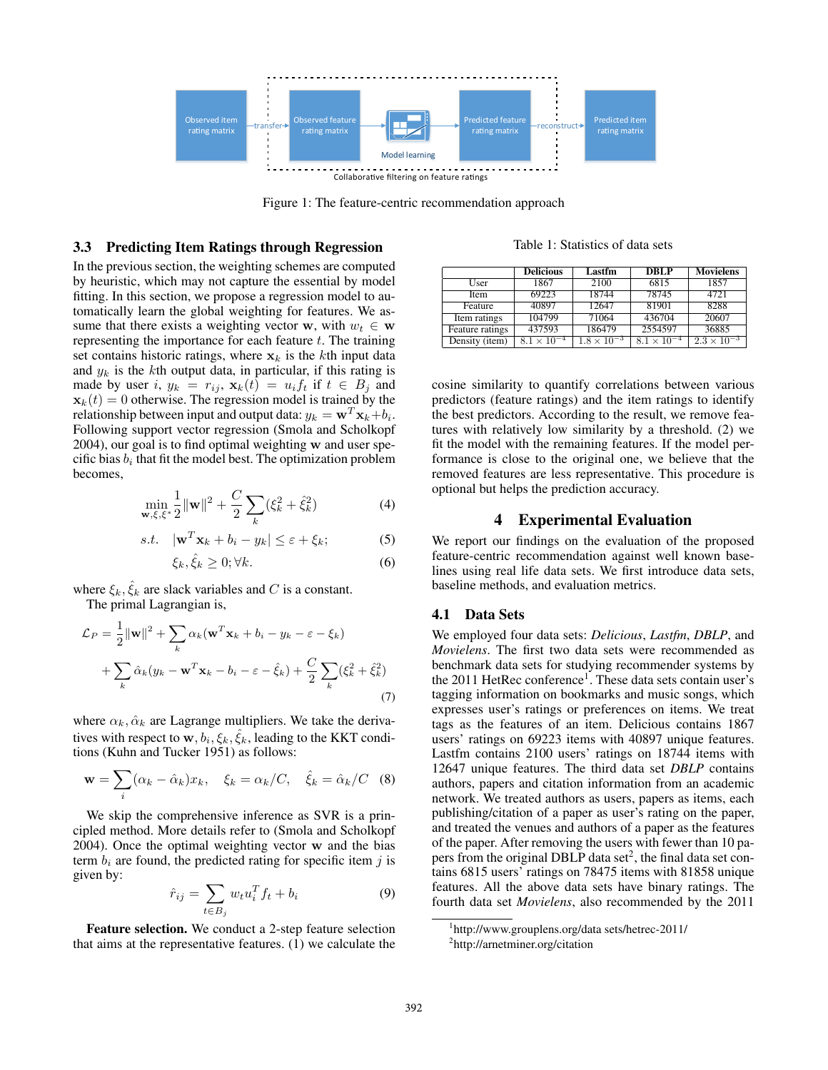

Figure 1: The feature-centric recommendation approach

## 3.3 Predicting Item Ratings through Regression

In the previous section, the weighting schemes are computed by heuristic, which may not capture the essential by model fitting. In this section, we propose a regression model to automatically learn the global weighting for features. We assume that there exists a weighting vector w, with  $w_t \in \mathbf{w}$ representing the importance for each feature  $t$ . The training set contains historic ratings, where  $x_k$  is the kth input data and  $y_k$  is the kth output data, in particular, if this rating is made by user i,  $y_k = r_{ij}$ ,  $\mathbf{x}_k(t) = u_i f_t$  if  $t \in B_j$  and  $\mathbf{x}_k(t) = 0$  otherwise. The regression model is trained by the relationship between input and output data:  $y_k = \mathbf{w}^T \mathbf{x}_k + b_i.$ Following support vector regression (Smola and Scholkopf 2004), our goal is to find optimal weighting w and user specific bias  $b_i$  that fit the model best. The optimization problem becomes,

$$
\min_{\mathbf{w}, \xi, \xi^*} \frac{1}{2} ||\mathbf{w}||^2 + \frac{C}{2} \sum_{k} (\xi_k^2 + \hat{\xi}_k^2)
$$
(4)

$$
s.t. \quad |\mathbf{w}^T \mathbf{x}_k + b_i - y_k| \le \varepsilon + \xi_k; \tag{5}
$$

$$
\xi_k, \hat{\xi}_k \ge 0; \forall k. \tag{6}
$$

where  $\xi_k$ ,  $\hat{\xi}_k$  are slack variables and C is a constant.

The primal Lagrangian is,

$$
\mathcal{L}_P = \frac{1}{2} ||\mathbf{w}||^2 + \sum_k \alpha_k (\mathbf{w}^T \mathbf{x}_k + b_i - y_k - \varepsilon - \xi_k)
$$
  
+ 
$$
\sum_k \hat{\alpha}_k (y_k - \mathbf{w}^T \mathbf{x}_k - b_i - \varepsilon - \hat{\xi}_k) + \frac{C}{2} \sum_k (\xi_k^2 + \hat{\xi}_k^2)
$$
(7)

where  $\alpha_k, \hat{\alpha}_k$  are Lagrange multipliers. We take the derivatives with respect to  $\mathbf{w}, b_i, \xi_k, \hat{\xi}_k$ , leading to the KKT conditions (Kuhn and Tucker 1951) as follows:

$$
\mathbf{w} = \sum_{i} (\alpha_k - \hat{\alpha}_k) x_k, \quad \xi_k = \alpha_k / C, \quad \hat{\xi}_k = \hat{\alpha}_k / C \quad (8)
$$

We skip the comprehensive inference as SVR is a principled method. More details refer to (Smola and Scholkopf 2004). Once the optimal weighting vector w and the bias term  $b_i$  are found, the predicted rating for specific item j is given by:

$$
\hat{r}_{ij} = \sum_{t \in B_j} w_t u_i^T f_t + b_i \tag{9}
$$

Feature selection. We conduct a 2-step feature selection that aims at the representative features. (1) we calculate the

Table 1: Statistics of data sets

|                 | <b>Delicious</b>     | Lastfm               | <b>DBLP</b>          | <b>Movielens</b>     |  |
|-----------------|----------------------|----------------------|----------------------|----------------------|--|
| User            | 1867                 | 2100                 | 6815                 | 1857                 |  |
| <b>Item</b>     | 69223                | 18744                | 78745                | 4721                 |  |
| Feature         | 40897                | 12647                | 81901                | 8288                 |  |
| Item ratings    | 104799               | 71064                | 436704               | 20607                |  |
| Feature ratings | 437593               | 186479               | 2554597              | 36885                |  |
| Density (item)  | $8.1 \times 10^{-4}$ | $1.8 \times 10^{-3}$ | $8.1 \times 10^{-4}$ | $2.3 \times 10^{-3}$ |  |

cosine similarity to quantify correlations between various predictors (feature ratings) and the item ratings to identify the best predictors. According to the result, we remove features with relatively low similarity by a threshold. (2) we fit the model with the remaining features. If the model performance is close to the original one, we believe that the removed features are less representative. This procedure is optional but helps the prediction accuracy.

#### 4 Experimental Evaluation

We report our findings on the evaluation of the proposed feature-centric recommendation against well known baselines using real life data sets. We first introduce data sets, baseline methods, and evaluation metrics.

#### 4.1 Data Sets

We employed four data sets: *Delicious*, *Lastfm*, *DBLP*, and *Movielens*. The first two data sets were recommended as benchmark data sets for studying recommender systems by the 2011 HetRec conference<sup>1</sup>. These data sets contain user's tagging information on bookmarks and music songs, which expresses user's ratings or preferences on items. We treat tags as the features of an item. Delicious contains 1867 users' ratings on 69223 items with 40897 unique features. Lastfm contains 2100 users' ratings on 18744 items with 12647 unique features. The third data set *DBLP* contains authors, papers and citation information from an academic network. We treated authors as users, papers as items, each publishing/citation of a paper as user's rating on the paper, and treated the venues and authors of a paper as the features of the paper. After removing the users with fewer than 10 papers from the original DBLP data set<sup>2</sup>, the final data set contains 6815 users' ratings on 78475 items with 81858 unique features. All the above data sets have binary ratings. The fourth data set *Movielens*, also recommended by the 2011

<sup>1</sup> http://www.grouplens.org/data sets/hetrec-2011/

<sup>2</sup> http://arnetminer.org/citation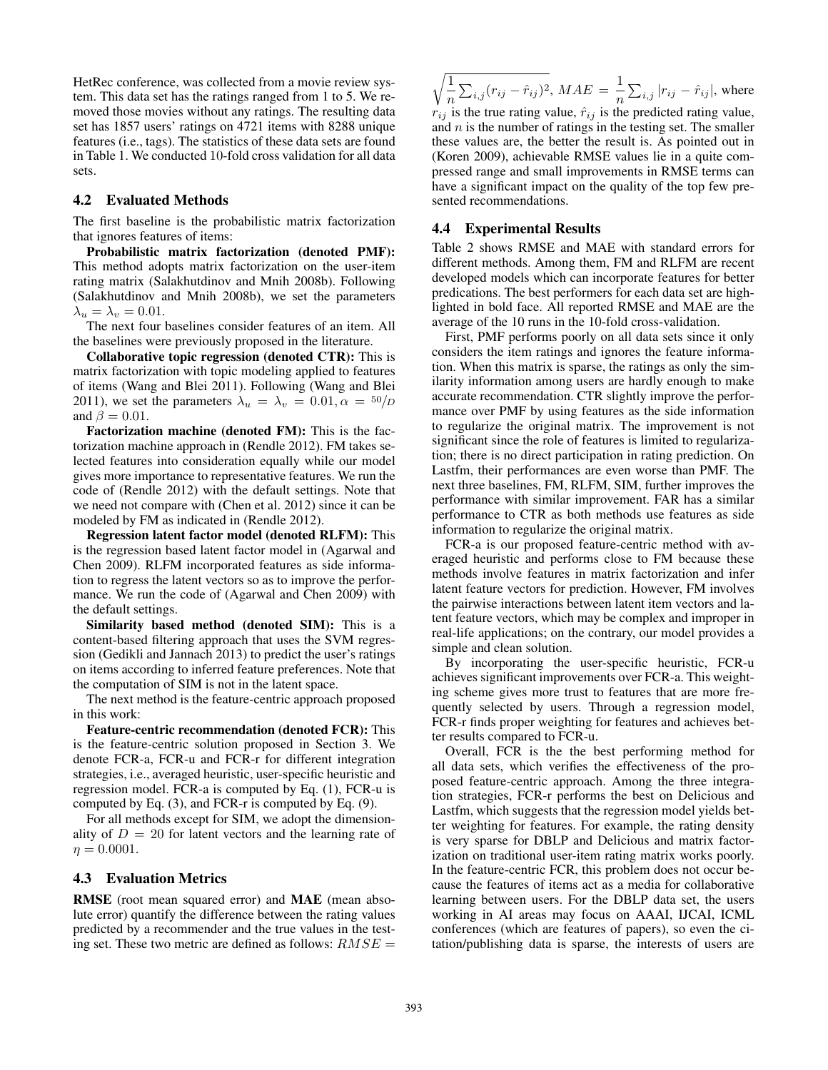HetRec conference, was collected from a movie review system. This data set has the ratings ranged from 1 to 5. We removed those movies without any ratings. The resulting data set has 1857 users' ratings on 4721 items with 8288 unique features (i.e., tags). The statistics of these data sets are found in Table 1. We conducted 10-fold cross validation for all data sets.

#### 4.2 Evaluated Methods

The first baseline is the probabilistic matrix factorization that ignores features of items:

Probabilistic matrix factorization (denoted PMF): This method adopts matrix factorization on the user-item rating matrix (Salakhutdinov and Mnih 2008b). Following (Salakhutdinov and Mnih 2008b), we set the parameters  $\lambda_u = \lambda_v = 0.01$ .

The next four baselines consider features of an item. All the baselines were previously proposed in the literature.

Collaborative topic regression (denoted CTR): This is matrix factorization with topic modeling applied to features of items (Wang and Blei 2011). Following (Wang and Blei 2011), we set the parameters  $\lambda_u = \lambda_v = 0.01, \alpha = \frac{50}{D}$ and  $\beta = 0.01$ .

Factorization machine (denoted FM): This is the factorization machine approach in (Rendle 2012). FM takes selected features into consideration equally while our model gives more importance to representative features. We run the code of (Rendle 2012) with the default settings. Note that we need not compare with (Chen et al. 2012) since it can be modeled by FM as indicated in (Rendle 2012).

Regression latent factor model (denoted RLFM): This is the regression based latent factor model in (Agarwal and Chen 2009). RLFM incorporated features as side information to regress the latent vectors so as to improve the performance. We run the code of (Agarwal and Chen 2009) with the default settings.

Similarity based method (denoted SIM): This is a content-based filtering approach that uses the SVM regression (Gedikli and Jannach 2013) to predict the user's ratings on items according to inferred feature preferences. Note that the computation of SIM is not in the latent space.

The next method is the feature-centric approach proposed in this work:

Feature-centric recommendation (denoted FCR): This is the feature-centric solution proposed in Section 3. We denote FCR-a, FCR-u and FCR-r for different integration strategies, i.e., averaged heuristic, user-specific heuristic and regression model. FCR-a is computed by Eq. (1), FCR-u is computed by Eq. (3), and FCR-r is computed by Eq. (9).

For all methods except for SIM, we adopt the dimensionality of  $D = 20$  for latent vectors and the learning rate of  $\eta = 0.0001$ .

### 4.3 Evaluation Metrics

RMSE (root mean squared error) and MAE (mean absolute error) quantify the difference between the rating values predicted by a recommender and the true values in the testing set. These two metric are defined as follows:  $RMSE =$ 

 $\sqrt{1}$  $\frac{1}{n} \sum_{i,j} (r_{ij} - \hat{r}_{ij})^2$ ,  $MAE = \frac{1}{n}$  $\frac{1}{n} \sum_{i,j} |r_{ij} - \hat{r}_{ij}|$ , where

 $r_{ij}$  is the true rating value,  $\hat{r}_{ij}$  is the predicted rating value, and  $n$  is the number of ratings in the testing set. The smaller these values are, the better the result is. As pointed out in (Koren 2009), achievable RMSE values lie in a quite compressed range and small improvements in RMSE terms can have a significant impact on the quality of the top few presented recommendations.

### 4.4 Experimental Results

Table 2 shows RMSE and MAE with standard errors for different methods. Among them, FM and RLFM are recent developed models which can incorporate features for better predications. The best performers for each data set are highlighted in bold face. All reported RMSE and MAE are the average of the 10 runs in the 10-fold cross-validation.

First, PMF performs poorly on all data sets since it only considers the item ratings and ignores the feature information. When this matrix is sparse, the ratings as only the similarity information among users are hardly enough to make accurate recommendation. CTR slightly improve the performance over PMF by using features as the side information to regularize the original matrix. The improvement is not significant since the role of features is limited to regularization; there is no direct participation in rating prediction. On Lastfm, their performances are even worse than PMF. The next three baselines, FM, RLFM, SIM, further improves the performance with similar improvement. FAR has a similar performance to CTR as both methods use features as side information to regularize the original matrix.

FCR-a is our proposed feature-centric method with averaged heuristic and performs close to FM because these methods involve features in matrix factorization and infer latent feature vectors for prediction. However, FM involves the pairwise interactions between latent item vectors and latent feature vectors, which may be complex and improper in real-life applications; on the contrary, our model provides a simple and clean solution.

By incorporating the user-specific heuristic, FCR-u achieves significant improvements over FCR-a. This weighting scheme gives more trust to features that are more frequently selected by users. Through a regression model, FCR-r finds proper weighting for features and achieves better results compared to FCR-u.

Overall, FCR is the the best performing method for all data sets, which verifies the effectiveness of the proposed feature-centric approach. Among the three integration strategies, FCR-r performs the best on Delicious and Lastfm, which suggests that the regression model yields better weighting for features. For example, the rating density is very sparse for DBLP and Delicious and matrix factorization on traditional user-item rating matrix works poorly. In the feature-centric FCR, this problem does not occur because the features of items act as a media for collaborative learning between users. For the DBLP data set, the users working in AI areas may focus on AAAI, IJCAI, ICML conferences (which are features of papers), so even the citation/publishing data is sparse, the interests of users are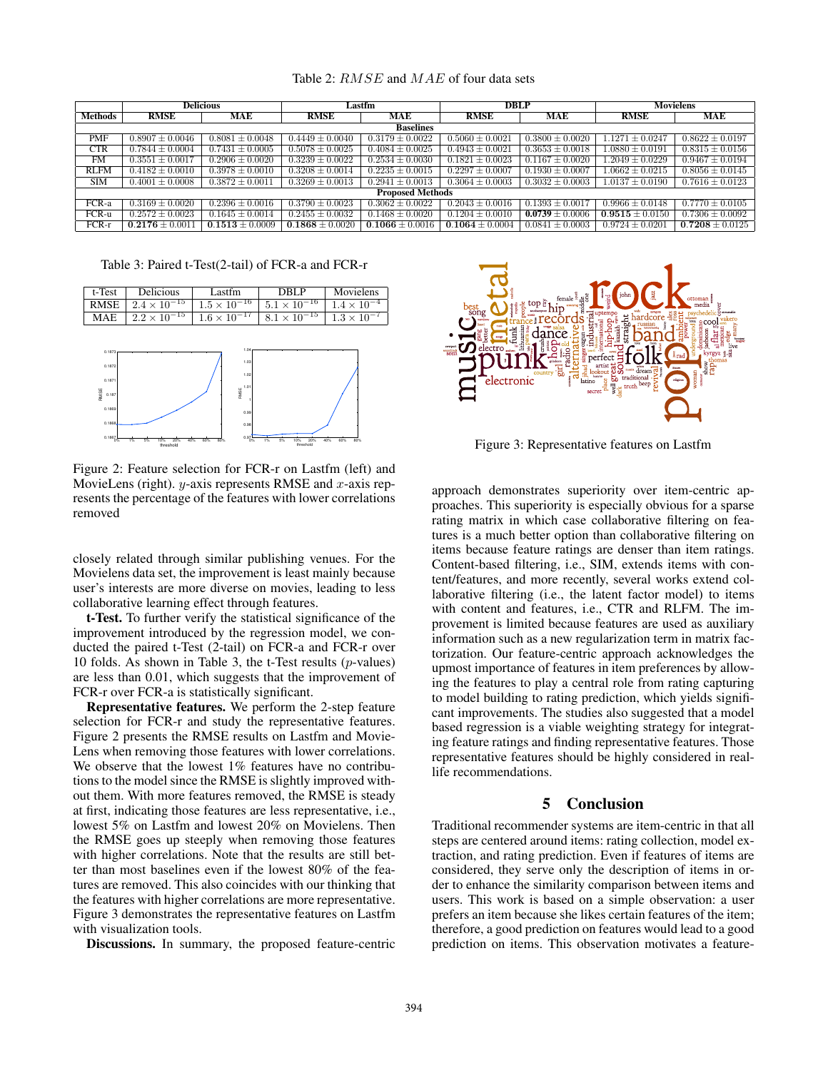|                         | <b>Delicious</b>    |                     | Lastfm              |                     | <b>DBLP</b>         |                     | <b>Movielens</b>               |                     |  |  |  |
|-------------------------|---------------------|---------------------|---------------------|---------------------|---------------------|---------------------|--------------------------------|---------------------|--|--|--|
| <b>Methods</b>          | <b>RMSE</b>         | MAE                 | <b>RMSE</b>         | MAE                 | <b>RMSE</b>         | MAE                 | <b>RMSE</b>                    | MAE                 |  |  |  |
| <b>Baselines</b>        |                     |                     |                     |                     |                     |                     |                                |                     |  |  |  |
| PMF                     | $0.8907 \pm 0.0046$ | $0.8081 \pm 0.0048$ | $0.4449 \pm 0.0040$ | $0.3179 \pm 0.0022$ | $0.5060 \pm 0.0021$ | $0.3800 \pm 0.0020$ | $1.1271 \pm 0.0247$            | $0.8622 \pm 0.0197$ |  |  |  |
| <b>CTR</b>              | $0.7844 \pm 0.0004$ | $0.7431 \pm 0.0005$ | $0.5078 \pm 0.0025$ | $0.4084 \pm 0.0025$ | $0.4943 \pm 0.0021$ | $0.3653 + 0.0018$   | $\overline{1.0880 \pm 0.0191}$ | $0.8315 \pm 0.0156$ |  |  |  |
| FM                      | $0.3551 \pm 0.0017$ | $0.2906 \pm 0.0020$ | $0.3239 \pm 0.0022$ | $0.2534 \pm 0.0030$ | $0.1821 \pm 0.0023$ | $0.1167 \pm 0.0020$ | $1.2049 \pm 0.0229$            | $0.9467 \pm 0.0194$ |  |  |  |
| <b>RLFM</b>             | $0.4182 \pm 0.0010$ | $0.3978 \pm 0.0010$ | $0.3208 \pm 0.0014$ | $0.2235 \pm 0.0015$ | $0.2297 \pm 0.0007$ | $0.1930 \pm 0.0007$ | $1.0662 \pm 0.0215$            | $0.8056 \pm 0.0145$ |  |  |  |
| <b>SIM</b>              | $0.4001 \pm 0.0008$ | $0.3872 \pm 0.0011$ | $0.3269 \pm 0.0013$ | $0.2941 \pm 0.0013$ | $0.3064 \pm 0.0003$ | $0.3032 \pm 0.0003$ | $1.0137 \pm 0.0190$            | $0.7616 \pm 0.0123$ |  |  |  |
| <b>Proposed Methods</b> |                     |                     |                     |                     |                     |                     |                                |                     |  |  |  |
| FCR-a                   | $0.3169 \pm 0.0020$ | $0.2396 \pm 0.0016$ | $0.3790 \pm 0.0023$ | $0.3062 \pm 0.0022$ | $0.2043 \pm 0.0016$ | $0.1393 \pm 0.0017$ | $0.9966 \pm 0.0148$            | $0.7770 \pm 0.0105$ |  |  |  |
| FCR-u                   | $0.2572 \pm 0.0023$ | $0.1645 \pm 0.0014$ | $0.2455 \pm 0.0032$ | $0.1468 \pm 0.0020$ | $0.1204 \pm 0.0010$ | $0.0739 \pm 0.0006$ | $0.9515 \pm 0.0150$            | $0.7306 \pm 0.0092$ |  |  |  |
| $FCR-r$                 | $0.2176 \pm 0.0011$ | $0.1513 \pm 0.0009$ | $0.1868 \pm 0.0020$ | $0.1066 \pm 0.0016$ | $0.1064 \pm 0.0004$ | $0.0841 \pm 0.0003$ | $0.9724 \pm 0.0201$            | $0.7208 \pm 0.0125$ |  |  |  |

Table 2:  $RMSE$  and  $MAE$  of four data sets

Table 3: Paired t-Test(2-tail) of FCR-a and FCR-r





Figure 2: Feature selection for FCR-r on Lastfm (left) and MovieLens (right).  $y$ -axis represents RMSE and  $x$ -axis represents the percentage of the features with lower correlations removed

closely related through similar publishing venues. For the Movielens data set, the improvement is least mainly because user's interests are more diverse on movies, leading to less collaborative learning effect through features.

t-Test. To further verify the statistical significance of the improvement introduced by the regression model, we conducted the paired t-Test (2-tail) on FCR-a and FCR-r over 10 folds. As shown in Table 3, the t-Test results  $(p$ -values) are less than 0.01, which suggests that the improvement of FCR-r over FCR-a is statistically significant.

Representative features. We perform the 2-step feature selection for FCR-r and study the representative features. Figure 2 presents the RMSE results on Lastfm and Movie-Lens when removing those features with lower correlations. We observe that the lowest 1% features have no contributions to the model since the RMSE is slightly improved without them. With more features removed, the RMSE is steady at first, indicating those features are less representative, i.e., lowest 5% on Lastfm and lowest 20% on Movielens. Then the RMSE goes up steeply when removing those features with higher correlations. Note that the results are still better than most baselines even if the lowest 80% of the features are removed. This also coincides with our thinking that the features with higher correlations are more representative. Figure 3 demonstrates the representative features on Lastfm with visualization tools.

Discussions. In summary, the proposed feature-centric



Figure 3: Representative features on Lastfm

approach demonstrates superiority over item-centric approaches. This superiority is especially obvious for a sparse rating matrix in which case collaborative filtering on features is a much better option than collaborative filtering on items because feature ratings are denser than item ratings. Content-based filtering, i.e., SIM, extends items with content/features, and more recently, several works extend collaborative filtering (i.e., the latent factor model) to items with content and features, i.e., CTR and RLFM. The improvement is limited because features are used as auxiliary information such as a new regularization term in matrix factorization. Our feature-centric approach acknowledges the upmost importance of features in item preferences by allowing the features to play a central role from rating capturing to model building to rating prediction, which yields significant improvements. The studies also suggested that a model based regression is a viable weighting strategy for integrating feature ratings and finding representative features. Those representative features should be highly considered in reallife recommendations.

## 5 Conclusion

Traditional recommender systems are item-centric in that all steps are centered around items: rating collection, model extraction, and rating prediction. Even if features of items are considered, they serve only the description of items in order to enhance the similarity comparison between items and users. This work is based on a simple observation: a user prefers an item because she likes certain features of the item; therefore, a good prediction on features would lead to a good prediction on items. This observation motivates a feature